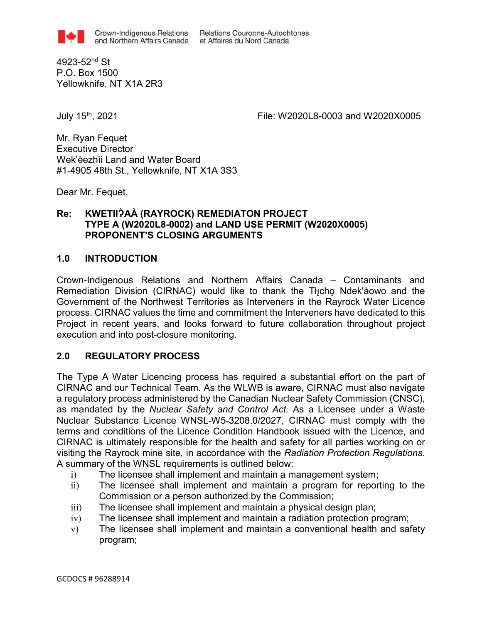Crown-Indigenous Relations Relations Couronne-Autochtones and Northern Affairs Canada et Affaires du Nord Canada

4923-52nd St P.O. Box 1500 Yellowknife, NT X1A 2R3

July 15th, 2021 File: W2020L8-0003 and W2020X0005

Mr. Ryan Fequet Executive Director Wek'èezhìi Land and Water Board #1-4905 48th St., Yellowknife, NT X1A 3S3

Dear Mr. Fequet,

### **Re: KWETIIɁ̀AÀ (RAYROCK) REMEDIATON PROJECT TYPE A (W2020L8-0002) and LAND USE PERMIT (W2020X0005) PROPONENT'S CLOSING ARGUMENTS**

### **1.0 INTRODUCTION**

Crown-Indigenous Relations and Northern Affairs Canada – Contaminants and Remediation Division (CIRNAC) would like to thank the Tłicho Ndek'àowo and the Government of the Northwest Territories as Interveners in the Rayrock Water Licence process. CIRNAC values the time and commitment the Interveners have dedicated to this Project in recent years, and looks forward to future collaboration throughout project execution and into post-closure monitoring.

## **2.0 REGULATORY PROCESS**

The Type A Water Licencing process has required a substantial effort on the part of CIRNAC and our Technical Team. As the WLWB is aware, CIRNAC must also navigate a regulatory process administered by the Canadian Nuclear Safety Commission (CNSC), as mandated by the *Nuclear Safety and Control Act.* As a Licensee under a Waste Nuclear Substance Licence WNSL-W5-3208.0/2027, CIRNAC must comply with the terms and conditions of the Licence Condition Handbook issued with the Licence, and CIRNAC is ultimately responsible for the health and safety for all parties working on or visiting the Rayrock mine site, in accordance with the *Radiation Protection Regulations*. A summary of the WNSL requirements is outlined below:

- i) The licensee shall implement and maintain a management system;
- ii) The licensee shall implement and maintain a program for reporting to the Commission or a person authorized by the Commission;
- iii) The licensee shall implement and maintain a physical design plan;
- iv) The licensee shall implement and maintain a radiation protection program;
- v) The licensee shall implement and maintain a conventional health and safety program;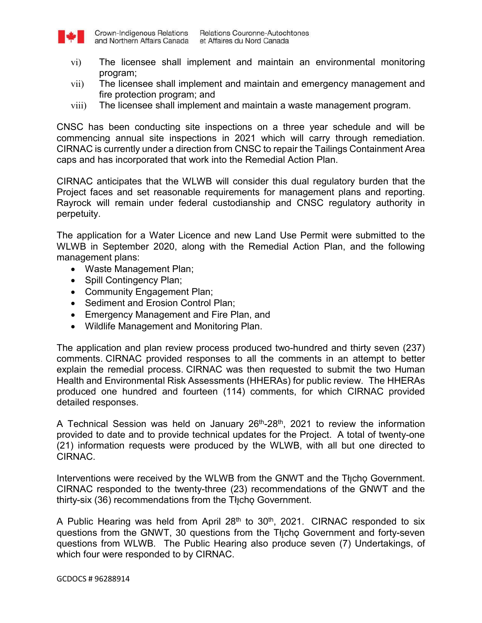

- vi) The licensee shall implement and maintain an environmental monitoring program;
- vii) The licensee shall implement and maintain and emergency management and fire protection program; and
- viii) The licensee shall implement and maintain a waste management program.

CNSC has been conducting site inspections on a three year schedule and will be commencing annual site inspections in 2021 which will carry through remediation. CIRNAC is currently under a direction from CNSC to repair the Tailings Containment Area caps and has incorporated that work into the Remedial Action Plan.

CIRNAC anticipates that the WLWB will consider this dual regulatory burden that the Project faces and set reasonable requirements for management plans and reporting. Rayrock will remain under federal custodianship and CNSC regulatory authority in perpetuity.

The application for a Water Licence and new Land Use Permit were submitted to the WLWB in September 2020, along with the Remedial Action Plan, and the following management plans:

- Waste Management Plan;
- Spill Contingency Plan;
- Community Engagement Plan;
- Sediment and Erosion Control Plan;
- Emergency Management and Fire Plan, and
- Wildlife Management and Monitoring Plan.

The application and plan review process produced two-hundred and thirty seven (237) comments. CIRNAC provided responses to all the comments in an attempt to better explain the remedial process. CIRNAC was then requested to submit the two Human Health and Environmental Risk Assessments (HHERAs) for public review. The HHERAs produced one hundred and fourteen (114) comments, for which CIRNAC provided detailed responses.

A Technical Session was held on January  $26<sup>th</sup>$ -28<sup>th</sup>, 2021 to review the information provided to date and to provide technical updates for the Project. A total of twenty-one (21) information requests were produced by the WLWB, with all but one directed to CIRNAC.

Interventions were received by the WLWB from the GNWT and the Tłicho Government. CIRNAC responded to the twenty-three (23) recommendations of the GNWT and the thirty-six (36) recommendations from the Tłicho Government.

A Public Hearing was held from April  $28<sup>th</sup>$  to  $30<sup>th</sup>$ , 2021. CIRNAC responded to six questions from the GNWT, 30 questions from the Tłicho Government and forty-seven questions from WLWB. The Public Hearing also produce seven (7) Undertakings, of which four were responded to by CIRNAC.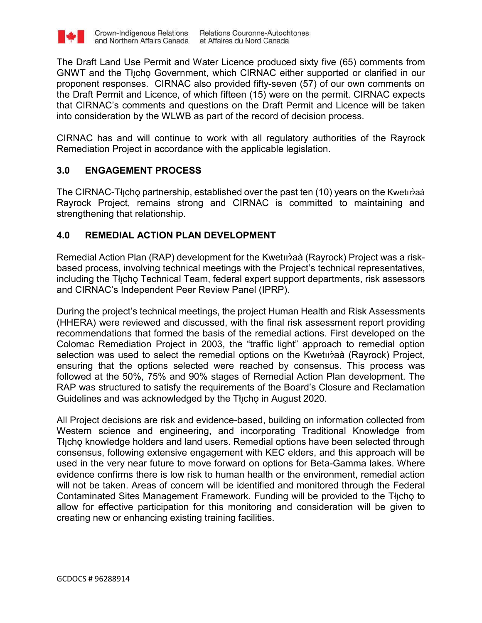

The Draft Land Use Permit and Water Licence produced sixty five (65) comments from GNWT and the Tłicho Government, which CIRNAC either supported or clarified in our proponent responses. CIRNAC also provided fifty-seven (57) of our own comments on the Draft Permit and Licence, of which fifteen (15) were on the permit. CIRNAC expects that CIRNAC's comments and questions on the Draft Permit and Licence will be taken into consideration by the WLWB as part of the record of decision process.

CIRNAC has and will continue to work with all regulatory authorities of the Rayrock Remediation Project in accordance with the applicable legislation.

## **3.0 ENGAGEMENT PROCESS**

The CIRNAC-Tłı̨chǫ partnership, established over the past ten (10) years on the Kwetııɂ̀ aà Rayrock Project, remains strong and CIRNAC is committed to maintaining and strengthening that relationship.

## **4.0 REMEDIAL ACTION PLAN DEVELOPMENT**

Remedial Action Plan (RAP) development for the Kwetıı̀àaà (Rayrock) Project was a riskbased process, involving technical meetings with the Project's technical representatives, including the Thicho Technical Team, federal expert support departments, risk assessors and CIRNAC's Independent Peer Review Panel (IPRP).

During the project's technical meetings, the project Human Health and Risk Assessments (HHERA) were reviewed and discussed, with the final risk assessment report providing recommendations that formed the basis of the remedial actions. First developed on the Colomac Remediation Project in 2003, the "traffic light" approach to remedial option selection was used to select the remedial options on the Kwetııр̀aà (Rayrock) Project, ensuring that the options selected were reached by consensus. This process was followed at the 50%, 75% and 90% stages of Remedial Action Plan development. The RAP was structured to satisfy the requirements of the Board's Closure and Reclamation Guidelines and was acknowledged by the Tłicho in August 2020.

All Project decisions are risk and evidence-based, building on information collected from Western science and engineering, and incorporating Traditional Knowledge from The knowledge holders and land users. Remedial options have been selected through consensus, following extensive engagement with KEC elders, and this approach will be used in the very near future to move forward on options for Beta-Gamma lakes. Where evidence confirms there is low risk to human health or the environment, remedial action will not be taken. Areas of concern will be identified and monitored through the Federal Contaminated Sites Management Framework. Funding will be provided to the Tłicho to allow for effective participation for this monitoring and consideration will be given to creating new or enhancing existing training facilities.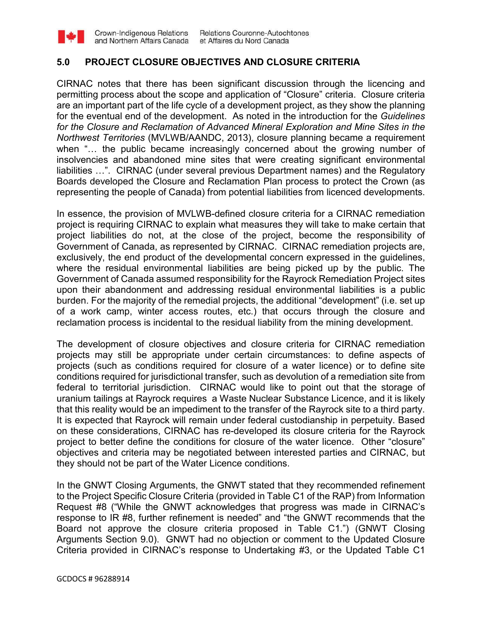#### **5.0 PROJECT CLOSURE OBJECTIVES AND CLOSURE CRITERIA**

CIRNAC notes that there has been significant discussion through the licencing and permitting process about the scope and application of "Closure" criteria. Closure criteria are an important part of the life cycle of a development project, as they show the planning for the eventual end of the development. As noted in the introduction for the *Guidelines for the Closure and Reclamation of Advanced Mineral Exploration and Mine Sites in the Northwest Territories* (MVLWB/AANDC, 2013), closure planning became a requirement when "... the public became increasingly concerned about the growing number of insolvencies and abandoned mine sites that were creating significant environmental liabilities …". CIRNAC (under several previous Department names) and the Regulatory Boards developed the Closure and Reclamation Plan process to protect the Crown (as representing the people of Canada) from potential liabilities from licenced developments.

In essence, the provision of MVLWB-defined closure criteria for a CIRNAC remediation project is requiring CIRNAC to explain what measures they will take to make certain that project liabilities do not, at the close of the project, become the responsibility of Government of Canada, as represented by CIRNAC. CIRNAC remediation projects are, exclusively, the end product of the developmental concern expressed in the guidelines, where the residual environmental liabilities are being picked up by the public. The Government of Canada assumed responsibility for the Rayrock Remediation Project sites upon their abandonment and addressing residual environmental liabilities is a public burden. For the majority of the remedial projects, the additional "development" (i.e. set up of a work camp, winter access routes, etc.) that occurs through the closure and reclamation process is incidental to the residual liability from the mining development.

The development of closure objectives and closure criteria for CIRNAC remediation projects may still be appropriate under certain circumstances: to define aspects of projects (such as conditions required for closure of a water licence) or to define site conditions required for jurisdictional transfer, such as devolution of a remediation site from federal to territorial jurisdiction. CIRNAC would like to point out that the storage of uranium tailings at Rayrock requires a Waste Nuclear Substance Licence, and it is likely that this reality would be an impediment to the transfer of the Rayrock site to a third party. It is expected that Rayrock will remain under federal custodianship in perpetuity. Based on these considerations, CIRNAC has re-developed its closure criteria for the Rayrock project to better define the conditions for closure of the water licence. Other "closure" objectives and criteria may be negotiated between interested parties and CIRNAC, but they should not be part of the Water Licence conditions.

In the GNWT Closing Arguments, the GNWT stated that they recommended refinement to the Project Specific Closure Criteria (provided in Table C1 of the RAP) from Information Request #8 ("While the GNWT acknowledges that progress was made in CIRNAC's response to IR #8, further refinement is needed" and "the GNWT recommends that the Board not approve the closure criteria proposed in Table C1.") (GNWT Closing Arguments Section 9.0). GNWT had no objection or comment to the Updated Closure Criteria provided in CIRNAC's response to Undertaking #3, or the Updated Table C1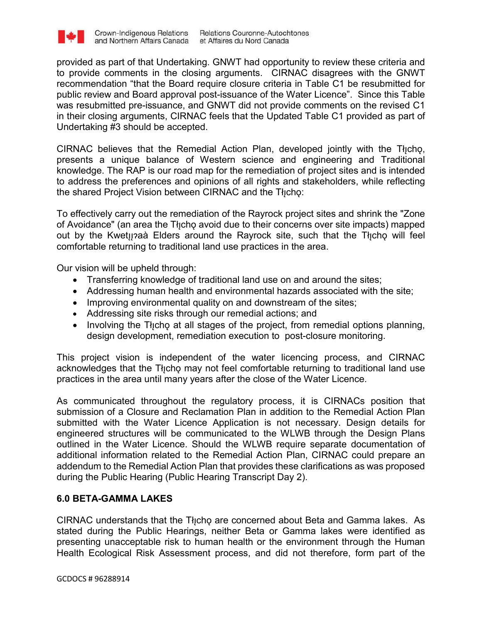

provided as part of that Undertaking. GNWT had opportunity to review these criteria and to provide comments in the closing arguments. CIRNAC disagrees with the GNWT recommendation "that the Board require closure criteria in Table C1 be resubmitted for public review and Board approval post-issuance of the Water Licence". Since this Table was resubmitted pre-issuance, and GNWT did not provide comments on the revised C1 in their closing arguments, CIRNAC feels that the Updated Table C1 provided as part of Undertaking #3 should be accepted.

CIRNAC believes that the Remedial Action Plan, developed jointly with the Tłicho, presents a unique balance of Western science and engineering and Traditional knowledge. The RAP is our road map for the remediation of project sites and is intended to address the preferences and opinions of all rights and stakeholders, while reflecting the shared Project Vision between CIRNAC and the Tłicho:

To effectively carry out the remediation of the Rayrock project sites and shrink the "Zone of Avoidance" (an area the Tłicho avoid due to their concerns over site impacts) mapped out by the Kwety aa Elders around the Rayrock site, such that the Tłicho will feel comfortable returning to traditional land use practices in the area.

Our vision will be upheld through:

- Transferring knowledge of traditional land use on and around the sites;
- Addressing human health and environmental hazards associated with the site;
- Improving environmental quality on and downstream of the sites;
- Addressing site risks through our remedial actions; and
- Involving the Thicho at all stages of the project, from remedial options planning, design development, remediation execution to post-closure monitoring.

This project vision is independent of the water licencing process, and CIRNAC acknowledges that the Thicho may not feel comfortable returning to traditional land use practices in the area until many years after the close of the Water Licence.

As communicated throughout the regulatory process, it is CIRNACs position that submission of a Closure and Reclamation Plan in addition to the Remedial Action Plan submitted with the Water Licence Application is not necessary. Design details for engineered structures will be communicated to the WLWB through the Design Plans outlined in the Water Licence. Should the WLWB require separate documentation of additional information related to the Remedial Action Plan, CIRNAC could prepare an addendum to the Remedial Action Plan that provides these clarifications as was proposed during the Public Hearing (Public Hearing Transcript Day 2).

## **6.0 BETA-GAMMA LAKES**

CIRNAC understands that the Theory are concerned about Beta and Gamma lakes. As stated during the Public Hearings, neither Beta or Gamma lakes were identified as presenting unacceptable risk to human health or the environment through the Human Health Ecological Risk Assessment process, and did not therefore, form part of the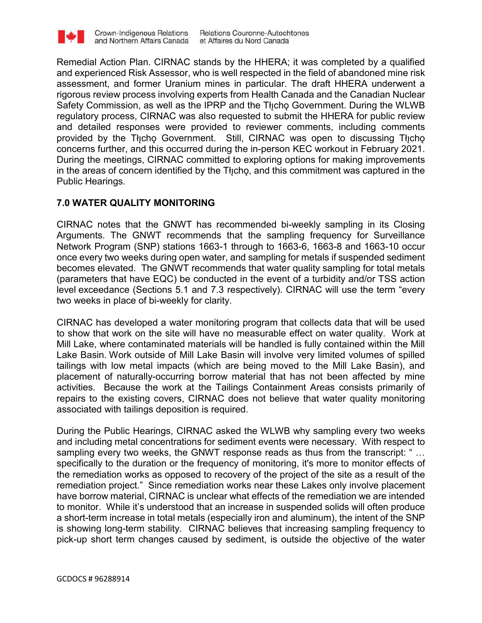

Remedial Action Plan. CIRNAC stands by the HHERA; it was completed by a qualified and experienced Risk Assessor, who is well respected in the field of abandoned mine risk assessment, and former Uranium mines in particular. The draft HHERA underwent a rigorous review process involving experts from Health Canada and the Canadian Nuclear Safety Commission, as well as the IPRP and the Tłicho Government. During the WLWB regulatory process, CIRNAC was also requested to submit the HHERA for public review and detailed responses were provided to reviewer comments, including comments provided by the Tłicho Government. Still, CIRNAC was open to discussing Tłicho concerns further, and this occurred during the in-person KEC workout in February 2021. During the meetings, CIRNAC committed to exploring options for making improvements in the areas of concern identified by the Tłicho, and this commitment was captured in the Public Hearings.

# **7.0 WATER QUALITY MONITORING**

CIRNAC notes that the GNWT has recommended bi-weekly sampling in its Closing Arguments. The GNWT recommends that the sampling frequency for Surveillance Network Program (SNP) stations 1663-1 through to 1663-6, 1663-8 and 1663-10 occur once every two weeks during open water, and sampling for metals if suspended sediment becomes elevated. The GNWT recommends that water quality sampling for total metals (parameters that have EQC) be conducted in the event of a turbidity and/or TSS action level exceedance (Sections 5.1 and 7.3 respectively). CIRNAC will use the term "every two weeks in place of bi-weekly for clarity.

CIRNAC has developed a water monitoring program that collects data that will be used to show that work on the site will have no measurable effect on water quality. Work at Mill Lake, where contaminated materials will be handled is fully contained within the Mill Lake Basin. Work outside of Mill Lake Basin will involve very limited volumes of spilled tailings with low metal impacts (which are being moved to the Mill Lake Basin), and placement of naturally-occurring borrow material that has not been affected by mine activities. Because the work at the Tailings Containment Areas consists primarily of repairs to the existing covers, CIRNAC does not believe that water quality monitoring associated with tailings deposition is required.

During the Public Hearings, CIRNAC asked the WLWB why sampling every two weeks and including metal concentrations for sediment events were necessary. With respect to sampling every two weeks, the GNWT response reads as thus from the transcript: " … specifically to the duration or the frequency of monitoring, it's more to monitor effects of the remediation works as opposed to recovery of the project of the site as a result of the remediation project." Since remediation works near these Lakes only involve placement have borrow material, CIRNAC is unclear what effects of the remediation we are intended to monitor. While it's understood that an increase in suspended solids will often produce a short-term increase in total metals (especially iron and aluminum), the intent of the SNP is showing long-term stability. CIRNAC believes that increasing sampling frequency to pick-up short term changes caused by sediment, is outside the objective of the water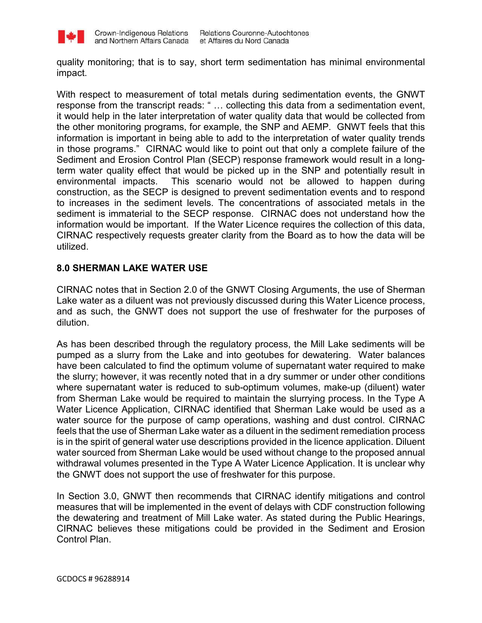

quality monitoring; that is to say, short term sedimentation has minimal environmental impact.

With respect to measurement of total metals during sedimentation events, the GNWT response from the transcript reads: " … collecting this data from a sedimentation event, it would help in the later interpretation of water quality data that would be collected from the other monitoring programs, for example, the SNP and AEMP. GNWT feels that this information is important in being able to add to the interpretation of water quality trends in those programs." CIRNAC would like to point out that only a complete failure of the Sediment and Erosion Control Plan (SECP) response framework would result in a longterm water quality effect that would be picked up in the SNP and potentially result in environmental impacts. This scenario would not be allowed to happen during construction, as the SECP is designed to prevent sedimentation events and to respond to increases in the sediment levels. The concentrations of associated metals in the sediment is immaterial to the SECP response. CIRNAC does not understand how the information would be important. If the Water Licence requires the collection of this data, CIRNAC respectively requests greater clarity from the Board as to how the data will be utilized.

### **8.0 SHERMAN LAKE WATER USE**

CIRNAC notes that in Section 2.0 of the GNWT Closing Arguments, the use of Sherman Lake water as a diluent was not previously discussed during this Water Licence process, and as such, the GNWT does not support the use of freshwater for the purposes of dilution.

As has been described through the regulatory process, the Mill Lake sediments will be pumped as a slurry from the Lake and into geotubes for dewatering. Water balances have been calculated to find the optimum volume of supernatant water required to make the slurry; however, it was recently noted that in a dry summer or under other conditions where supernatant water is reduced to sub-optimum volumes, make-up (diluent) water from Sherman Lake would be required to maintain the slurrying process. In the Type A Water Licence Application, CIRNAC identified that Sherman Lake would be used as a water source for the purpose of camp operations, washing and dust control. CIRNAC feels that the use of Sherman Lake water as a diluent in the sediment remediation process is in the spirit of general water use descriptions provided in the licence application. Diluent water sourced from Sherman Lake would be used without change to the proposed annual withdrawal volumes presented in the Type A Water Licence Application. It is unclear why the GNWT does not support the use of freshwater for this purpose.

In Section 3.0, GNWT then recommends that CIRNAC identify mitigations and control measures that will be implemented in the event of delays with CDF construction following the dewatering and treatment of Mill Lake water. As stated during the Public Hearings, CIRNAC believes these mitigations could be provided in the Sediment and Erosion Control Plan.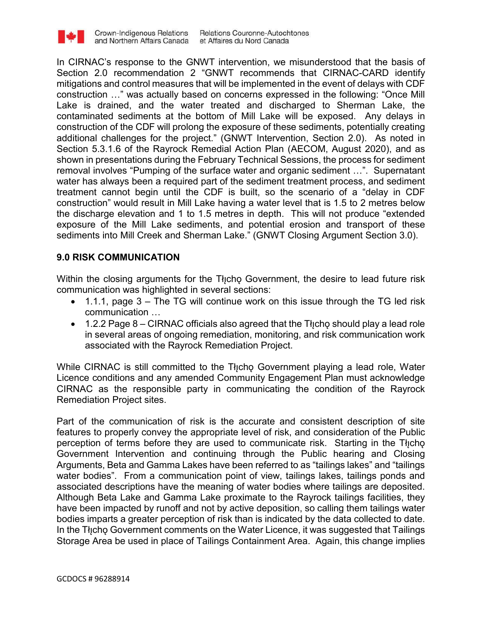

In CIRNAC's response to the GNWT intervention, we misunderstood that the basis of Section 2.0 recommendation 2 "GNWT recommends that CIRNAC-CARD identify mitigations and control measures that will be implemented in the event of delays with CDF construction …" was actually based on concerns expressed in the following: "Once Mill Lake is drained, and the water treated and discharged to Sherman Lake, the contaminated sediments at the bottom of Mill Lake will be exposed. Any delays in construction of the CDF will prolong the exposure of these sediments, potentially creating additional challenges for the project." (GNWT Intervention, Section 2.0). As noted in Section 5.3.1.6 of the Rayrock Remedial Action Plan (AECOM, August 2020), and as shown in presentations during the February Technical Sessions, the process for sediment removal involves "Pumping of the surface water and organic sediment …". Supernatant water has always been a required part of the sediment treatment process, and sediment treatment cannot begin until the CDF is built, so the scenario of a "delay in CDF construction" would result in Mill Lake having a water level that is 1.5 to 2 metres below the discharge elevation and 1 to 1.5 metres in depth. This will not produce "extended exposure of the Mill Lake sediments, and potential erosion and transport of these sediments into Mill Creek and Sherman Lake." (GNWT Closing Argument Section 3.0).

### **9.0 RISK COMMUNICATION**

Within the closing arguments for the Tłicho Government, the desire to lead future risk communication was highlighted in several sections:

- $\bullet$  1.1.1, page 3 The TG will continue work on this issue through the TG led risk communication …
- $\bullet$  1.2.2 Page 8 CIRNAC officials also agreed that the Tł<sub>i</sub>cho should play a lead role in several areas of ongoing remediation, monitoring, and risk communication work associated with the Rayrock Remediation Project.

While CIRNAC is still committed to the Thicho Government playing a lead role, Water Licence conditions and any amended Community Engagement Plan must acknowledge CIRNAC as the responsible party in communicating the condition of the Rayrock Remediation Project sites.

Part of the communication of risk is the accurate and consistent description of site features to properly convey the appropriate level of risk, and consideration of the Public perception of terms before they are used to communicate risk. Starting in the Tłycho Government Intervention and continuing through the Public hearing and Closing Arguments, Beta and Gamma Lakes have been referred to as "tailings lakes" and "tailings water bodies". From a communication point of view, tailings lakes, tailings ponds and associated descriptions have the meaning of water bodies where tailings are deposited. Although Beta Lake and Gamma Lake proximate to the Rayrock tailings facilities, they have been impacted by runoff and not by active deposition, so calling them tailings water bodies imparts a greater perception of risk than is indicated by the data collected to date. In the Tłicho Government comments on the Water Licence, it was suggested that Tailings Storage Area be used in place of Tailings Containment Area. Again, this change implies